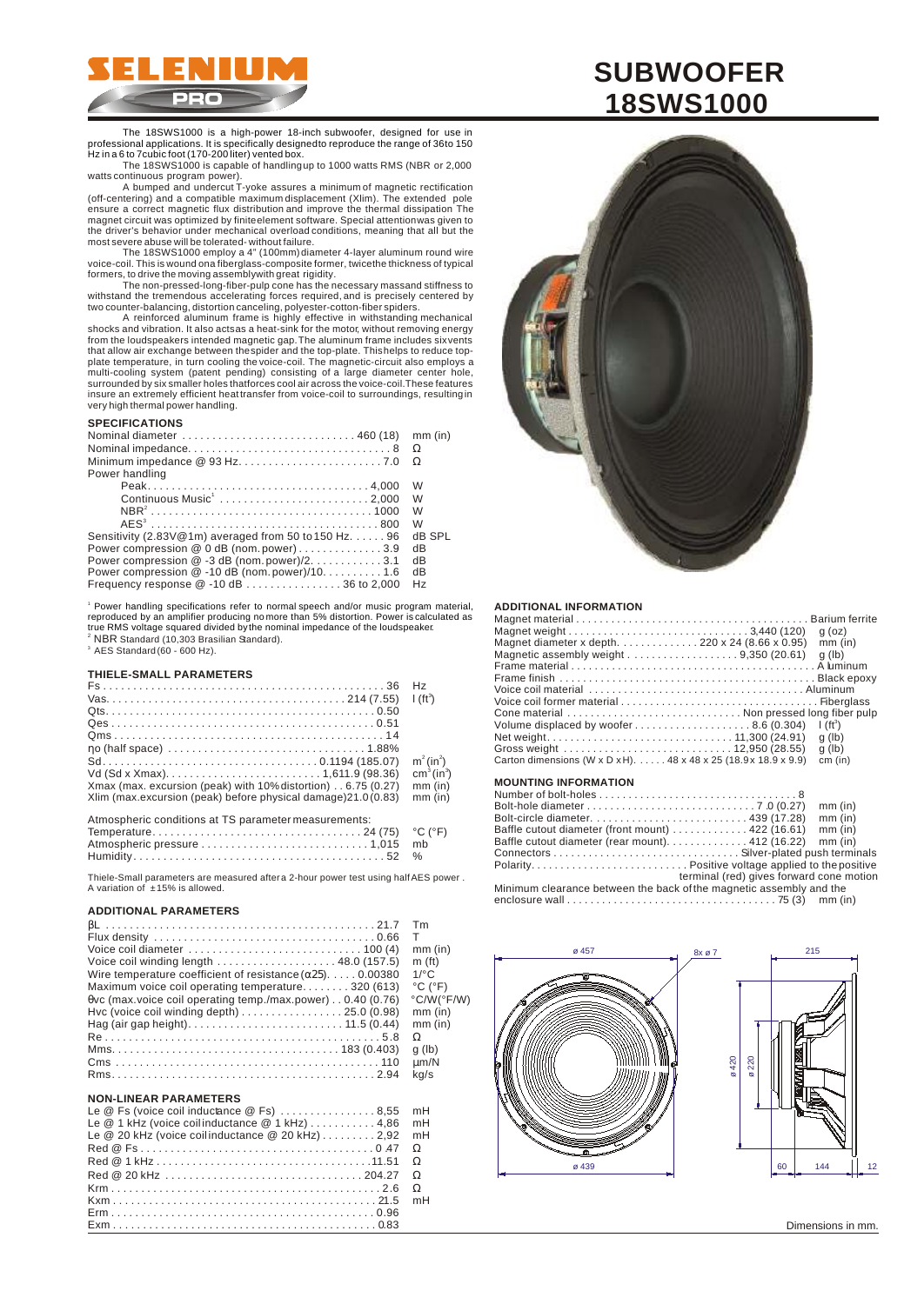

The 18SWS1000 is a high-power 18-inch subwoofer, designed for use in professional applications. It is specifically designed to reproduce the range of 36 to 150 Hz in a 6 to 7 cubic foot (170-200 liter) vented box.

The 18SWS1000 is capable of handling up to 1000 watts RMS (NBR or 2,000 watts continuous program power). A bumped and undercut T-yoke assures a minimum of magnetic rectification

(off-centering) and a compatible maximum displacement (Xlim). The extended pole ensure a correct magnetic flux distribution and improve the thermal dissipation The magnet circuit was optimized by finite element software. Special attention was given to the driver's behavior under mechanical overload conditions, meaning that all but the

most severe abuse will be tolerated - without failure. The 18SWS1000 employ a 4" (100mm) diameter 4-layer aluminum round wire voice-coil. This is wound ona fiberglass-composite former, twicethe thickness of typical<br>formers, to drive the moving assemblywith great rigidity.

The non-pressed-long-fiber-pulp cone has the necessary massand stiffness to<br>withstand the tremendous accelerating forces required, and is precisely centered by<br>two counter-balancing, distortion canceling, polyester-cottoninsure an extremely efficient heat transfer from voice-coil to surroundings, resulting in very high thermal power handling.

# **SPECIFICATIONS**

|                                                                 | mm (in)        |
|-----------------------------------------------------------------|----------------|
|                                                                 |                |
|                                                                 |                |
| Power handling                                                  |                |
|                                                                 | W              |
| Continuous Music <sup>1</sup> 2,000                             | W              |
|                                                                 | W              |
|                                                                 | W              |
| Sensitivity (2.83V@1m) averaged from 50 to 150 Hz. $\dots$ . 96 | dB SPL         |
| Power compression @ 0 dB (nom.power)3.9                         | dB             |
| Power compression @ -3 dB (nom.power)/2. 3.1                    | dB             |
| Power compression $@-10$ dB (nom. power)/10. 1.6                | dB             |
| Frequency response $@-10 dB$ 36 to 2,000                        | H <sub>7</sub> |

<sup>i</sup> Power handling specifications refer to normal speech and/or music program material,<br>reproduced by an amplifier producing nomore than 5% distortion. Power is calculated as<br>true RMS voltage squared divided bythe nominal NBR Standard (10,303 Brasilian Standard).  $^3$  AES Standard (60 - 600 Hz).

#### **THIELE-SMALL PARAMETERS**

|                                                                | H <sub>z</sub>                     |
|----------------------------------------------------------------|------------------------------------|
|                                                                | $1(ft^3)$                          |
|                                                                |                                    |
|                                                                |                                    |
|                                                                |                                    |
|                                                                |                                    |
|                                                                | $m^2 (in^2)$                       |
|                                                                | cm <sup>3</sup> (in <sup>3</sup> ) |
| Xmax (max. excursion (peak) with 10% distortion) 6.75 (0.27)   | $mm$ (in)                          |
| Xlim (max.excursion (peak) before physical damage) 21.0 (0.83) | $mm$ (in)                          |
|                                                                |                                    |
| Atmospheric conditions at TS parameter measurements:           |                                    |
|                                                                | $^{\circ}$ C ( $^{\circ}$ F)       |
|                                                                | mb                                 |
|                                                                | $\%$                               |

Thiele-Small parameters are measured after a 2-hour power test using half AES power. A variation of  $±15%$  is allowed.

#### **ADDITIONAL PARAMETERS**

|                                                                                                     | Tm                           |
|-----------------------------------------------------------------------------------------------------|------------------------------|
|                                                                                                     | т                            |
| Voice coil diameter $\ldots \ldots \ldots \ldots \ldots \ldots \ldots \ldots \ldots \ldots$ 100 (4) | $mm$ (in)                    |
| Voice coil winding length $\ldots$ 48.0 (157.5)                                                     | m <sub>(ft)</sub>            |
| Wire temperature coefficient of resistance (25). 0.00380                                            | $1$ <sup>o</sup> $\sim$      |
| Maximum voice coil operating temperature320 (613)                                                   | $^{\circ}$ C ( $^{\circ}$ F) |
| vc (max.voice coil operating temp./max.power) 0.40 (0.76)                                           | °C/W(°F/W)                   |
| Hvc (voice coil winding depth) $\ldots \ldots \ldots \ldots \ldots \ldots$ 25.0 (0.98)              | $mm$ (in)                    |
|                                                                                                     | $mm$ (in)                    |
|                                                                                                     |                              |
|                                                                                                     | g(h)                         |
|                                                                                                     | um/N                         |
|                                                                                                     | ka/s                         |

# **NON-LINEAR PARAMETERS**

|                                                     | mH |
|-----------------------------------------------------|----|
| Le @ 1 kHz (voice coilinductance @ 1 kHz) 4,86      | mH |
| Le $@$ 20 kHz (voice coilinductance $@$ 20 kHz)2,92 | mH |
|                                                     |    |
|                                                     |    |
|                                                     |    |
|                                                     |    |
|                                                     | mH |
|                                                     |    |
|                                                     |    |



#### **ADDITIONAL INFORMATION**

| Magnet diameter x depth. 220 x 24 (8.66 x 0.95)<br>Magnetic assembly weight $\ldots \ldots \ldots \ldots \ldots \ldots$ 9,350 (20.61) | $q$ (oz)<br>$mm$ (in)<br>$q$ (lb) |
|---------------------------------------------------------------------------------------------------------------------------------------|-----------------------------------|
|                                                                                                                                       |                                   |
|                                                                                                                                       |                                   |
| Cone material  Non pressed long fiber pulp                                                                                            |                                   |
| Volume displaced by woofer8.6 (0.304)                                                                                                 | $\int (ft^3)$                     |
|                                                                                                                                       | $q$ (lb)                          |
|                                                                                                                                       | $q$ (lb)                          |
| Carton dimensions (W x D x H). $\dots$ 48 x 48 x 25 (18.9 x 18.9 x 9.9)                                                               | cm (in)                           |
| <b>MOUNTING INFORMATION</b>                                                                                                           |                                   |
|                                                                                                                                       |                                   |
|                                                                                                                                       | $mm$ (in)                         |

|                                                                                |                                          | mm (in)   |
|--------------------------------------------------------------------------------|------------------------------------------|-----------|
|                                                                                |                                          | $mm$ (in) |
| Baffle cutout diameter (front mount) $\ldots \ldots \ldots \ldots$ 422 (16.61) |                                          | $mm$ (in) |
| Baffle cutout diameter (rear mount). 412 (16.22) mm (in)                       |                                          |           |
|                                                                                |                                          |           |
|                                                                                |                                          |           |
|                                                                                | terminal (red) gives forward cone motion |           |
| Minimum clearance between the back of the magnetic assembly and the            |                                          |           |
|                                                                                |                                          |           |
|                                                                                |                                          |           |



# **SUBWOOFER 18SWS1000**